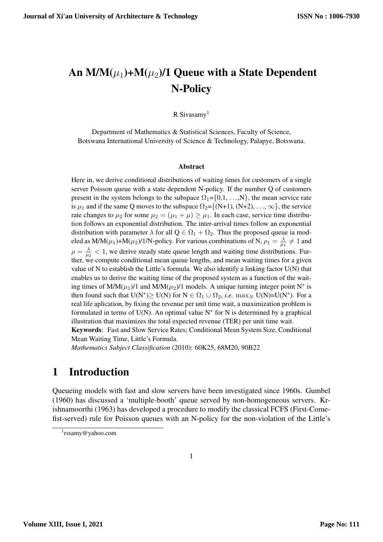# An  $M/M(\mu_1)+M(\mu_2)/1$  Queue with a State Dependent N-Policy

R Sivasamy<sup>1</sup>

Department of Mathematics & Statistical Sciences, Faculty of Science, Botswana International University of Science & Technology, Palapye, Botswana.

#### Abstract

Here in, we derive conditional distributions of waiting times for customers of a single server Poisson queue with a state dependent N-policy. If the number Q of customers present in the system belongs to the subspace  $\Omega_1 = \{0, 1, \ldots, N\}$ , the mean service rate is  $\mu_1$  and if the same Q moves to the subspace  $\Omega_2 = \{ (N+1), (N+2), \ldots, \infty \},$  the service rate changes to  $\mu_2$  for some  $\mu_2 = (\mu_1 + \mu) \ge \mu_1$ . In each case, service time distribution follows an exponential distribution. The inter-arrival times follow an exponential distribution with parameter  $\lambda$  for all  $Q \in \Omega_1 + \Omega_2$ . Thus the proposed queue ia modeled as M/M( $\mu_1$ )+M( $\mu_2$ )/1/N-policy. For various combinations of N,  $\rho_1 = \frac{\lambda}{\mu_1}$  $\frac{\lambda}{\mu_1} \neq 1$  and  $ho = \frac{\lambda}{\mu}$  $\frac{\lambda}{\mu_2}$  < 1, we derive steady state queue length and waiting time distributions. Further, we compute conditional mean queue lengths, and mean waiting times for a given value of N to establish the Little's formula. We also identify a linking factor  $U(N)$  that enables us to derive the waiting time of the proposed system as a function of the waiting times of M/M( $\mu_1$ )/1 and M/M( $\mu_2$ )/1 models. A unique turning integer point N<sup>\*</sup> is then found such that  $U(N^*) \ge U(N)$  for  $N \in \Omega_1 \cup \Omega_2$ , *i.e.* max<sub>N</sub>  $U(N) = U(N^*)$ . For a real life aplication, by fixing the revenue per unit time wait, a maximization problem is formulated in terms of U(N). An optimal value  $N^*$  for N is determined by a graphical illustration that maximizes the total expected revenue (TER) per unit time wait. Keywords: Fast and Slow Service Rates; Conditional Mean System Size, Conditional

Mean Waiting Time, Little's Formula.

*Mathematics Subject Classification* (2010): 60K25, 68M20, 90B22

## 1 Introduction

Queueing models with fast and slow servers have been investigated since 1960s. Gumbel (1960) has discussed a 'multiple-booth' queue served by non-homogeneous servers. Krishnamoorthi (1963) has developed a procedure to modify the classical FCFS (First-Comefist-served) rule for Poisson queues with an N-policy for the non-violation of the Little's

<sup>1</sup> rssamy@yahoo.com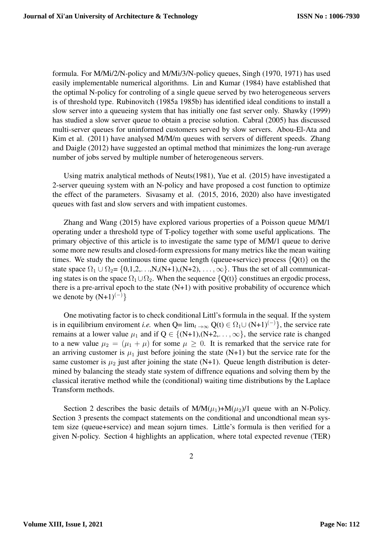formula. For M/Mi/2/N-policy and M/Mi/3/N-policy queues, Singh (1970, 1971) has used easily implementable numerical algorithms. Lin and Kumar (1984) have established that the optimal N-policy for controling of a single queue served by two heterogeneous servers is of threshold type. Rubinovitch (1985a 1985b) has identified ideal conditions to install a slow server into a queueing system that has initially one fast server only. Shawky (1999) has studied a slow server queue to obtain a precise solution. Cabral (2005) has discussed multi-server queues for uninformed customers served by slow servers. Abou-El-Ata and Kim et al. (2011) have analysed M/M/m queues with servers of different speeds. Zhang and Daigle (2012) have suggested an optimal method that minimizes the long-run average number of jobs served by multiple number of heterogeneous servers.

Using matrix analytical methods of Neuts(1981), Yue et al. (2015) have investigated a 2-server queuing system with an N-policy and have proposed a cost function to optimize the effect of the parameters. Sivasamy et al. (2015, 2016, 2020) also have investigated queues with fast and slow servers and with impatient customes.

Zhang and Wang (2015) have explored various properties of a Poisson queue M/M/1 operating under a threshold type of T-policy together with some useful applications. The primary objective of this article is to investigate the same type of M/M/1 queue to derive some more new results and closed-form expressions for many metrics like the mean waiting times. We study the continuous time queue length (queue+service) process  $\{Q(t)\}\$  on the state space  $\Omega_1 \cup \Omega_2 = \{0,1,2,\ldots,N,(N+1),(N+2),\ldots,\infty\}$ . Thus the set of all communicating states is on the space  $\Omega_1 \cup \Omega_2$ . When the sequence  $\{Q(t)\}\$ constitues an ergodic process, there is a pre-arrival epoch to the state  $(N+1)$  with positive probability of occurence which we denote by  $(N+1)^{(-)}$ }

One motivating factor is to check conditional Littl's formula in the sequal. If the system is in equilibrium enviroment *i.e.* when  $Q= \lim_{t \to \infty} Q(t) \in \Omega_1 \cup (N+1)^{(-)}$ , the service rate remains at a lower value  $\mu_1$  and if  $Q \in \{N+1\}$ ,  $(N+2,\ldots,\infty)$ , the service rate is changed to a new value  $\mu_2 = (\mu_1 + \mu)$  for some  $\mu \geq 0$ . It is remarked that the service rate for an arriving customer is  $\mu_1$  just before joining the state (N+1) but the service rate for the same customer is  $\mu_2$  just after joining the state (N+1). Queue length distribution is determined by balancing the steady state system of diffrence equations and solving them by the classical iterative method while the (conditional) waiting time distributions by the Laplace Transform methods.

Section 2 describes the basic details of  $M/M(\mu_1)+M(\mu_2)/1$  queue with an N-Policy. Section 3 presents the compact statements on the conditional and uncondtional mean system size (queue+service) and mean sojurn times. Little's formula is then verified for a given N-policy. Section 4 highlights an application, where total expected revenue (TER)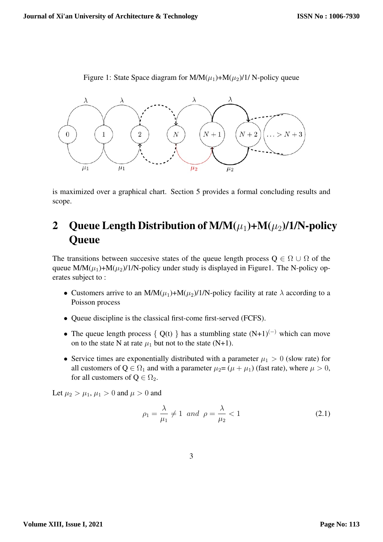

Figure 1: State Space diagram for  $M/M(\mu_1)+M(\mu_2)/1/N$ -policy queue

is maximized over a graphical chart. Section 5 provides a formal concluding results and scope.

## 2 Queue Length Distribution of  $M/M(\mu_1)+M(\mu_2)/1/N$ -policy **Oueue**

The transitions between succesive states of the queue length process  $Q \in \Omega \cup \Omega$  of the queue  $M/M(\mu_1)+M(\mu_2)/1/N$ -policy under study is displayed in Figure1. The N-policy operates subject to :

- Customers arrive to an M/M( $\mu_1$ )+M( $\mu_2$ )/1/N-policy facility at rate  $\lambda$  according to a Poisson process
- Queue discipline is the classical first-come first-served (FCFS).
- The queue length process { Q(t) } has a stumbling state  $(N+1)^{(-)}$  which can move on to the state N at rate  $\mu_1$  but not to the state (N+1).
- Service times are exponentially distributed with a parameter  $\mu_1 > 0$  (slow rate) for all customers of  $Q \in \Omega_1$  and with a parameter  $\mu_2 = (\mu + \mu_1)$  (fast rate), where  $\mu > 0$ , for all customers of  $Q \in \Omega_2$ .

Let  $\mu_2 > \mu_1, \mu_1 > 0$  and  $\mu > 0$  and

$$
\rho_1 = \frac{\lambda}{\mu_1} \neq 1 \quad and \quad \rho = \frac{\lambda}{\mu_2} < 1 \tag{2.1}
$$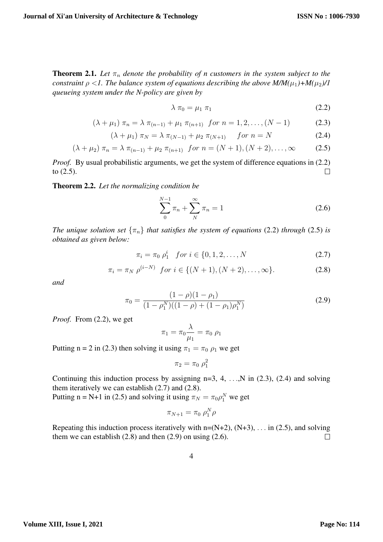**Theorem 2.1.** Let  $\pi_n$  denote the probability of n customers in the system subject to the *constraint*  $\rho < 1$ *. The balance system of equations describing the above M/M*( $\mu_1$ )+*M*( $\mu_2$ )/1 *queueing system under the N-policy are given by*

$$
\lambda \pi_0 = \mu_1 \pi_1 \tag{2.2}
$$

$$
(\lambda + \mu_1) \pi_n = \lambda \pi_{(n-1)} + \mu_1 \pi_{(n+1)} \text{ for } n = 1, 2, ..., (N-1)
$$
 (2.3)

$$
(\lambda + \mu_1) \pi_N = \lambda \pi_{(N-1)} + \mu_2 \pi_{(N+1)} \quad \text{for } n = N \tag{2.4}
$$

$$
(\lambda + \mu_2) \pi_n = \lambda \pi_{(n-1)} + \mu_2 \pi_{(n+1)} \text{ for } n = (N+1), (N+2), \dots, \infty \tag{2.5}
$$

*Proof.* By usual probabilistic arguments, we get the system of difference equations in (2.2) to (2.5).  $\Box$ 

#### Theorem 2.2. *Let the normalizing condition be*

$$
\sum_{0}^{N-1} \pi_n + \sum_{N}^{\infty} \pi_n = 1
$$
\n(2.6)

*The unique solution set*  $\{\pi_n\}$  *that satisfies the system of equations* (2.2) *through* (2.5) *is obtained as given below:*

$$
\pi_i = \pi_0 \, \rho_1^i \quad \text{for } i \in \{0, 1, 2, \dots, N \tag{2.7}
$$

$$
\pi_i = \pi_N \; \rho^{(i-N)} \; \text{ for } i \in \{ (N+1), (N+2), \dots, \infty \}. \tag{2.8}
$$

*and*

$$
\pi_0 = \frac{(1 - \rho)(1 - \rho_1)}{(1 - \rho_1^N)((1 - \rho) + (1 - \rho_1)\rho_1^N)}
$$
(2.9)

*Proof.* From (2.2), we get

$$
\pi_1 = \pi_0 \frac{\lambda}{\mu_1} = \pi_0 \; \rho_1
$$

Putting n = 2 in (2.3) then solving it using  $\pi_1 = \pi_0 \rho_1$  we get

$$
\pi_2=\pi_0\;\rho_1^2
$$

Continuing this induction process by assigning  $n=3, 4, \ldots, N$  in (2.3), (2.4) and solving them iteratively we can establish (2.7) and (2.8).

Putting n = N+1 in (2.5) and solving it using  $\pi_N = \pi_0 \rho_1^N$  we get

$$
\pi_{N+1} = \pi_0 \; \rho_1^N \rho
$$

Repeating this induction process iteratively with  $n=(N+2)$ ,  $(N+3)$ , ... in (2.5), and solving them we can establish  $(2.8)$  and then  $(2.9)$  on using  $(2.6)$ .  $\Box$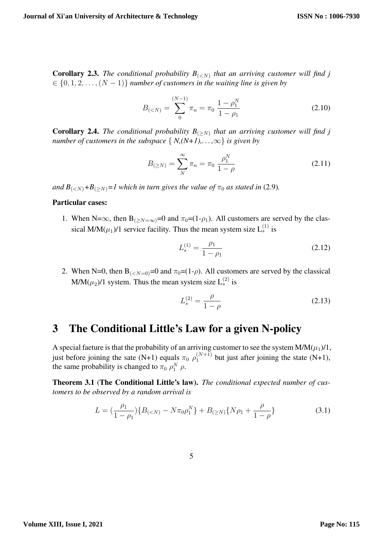**Corollary 2.3.** The conditional probability  $B_{\left\{\langle\langle N\rangle\right\}}$  that an arriving customer will find j  $\{0, 1, 2, \ldots, (N-1)\}\$  *number of customers in the waiting line is given by* 

$$
B_{( (2.10)
$$

**Corollary 2.4.** The conditional probability  $B_{(\geq N)}$  that an arriving customer will find j *number of customers in the subspace*  $\{ N,(N+1),\ldots,\infty\}$  *is given by* 

$$
B_{(\geq N)} = \sum_{N}^{\infty} \pi_n = \pi_0 \frac{\rho_1^N}{1 - \rho}
$$
 (2.11)

*and*  $B_{\langle \langle N \rangle} + B_{\langle \rangle N \rangle} = 1$  which in turn gives the value of  $\pi_0$  as stated in (2.9).

#### Particular cases:

1. When N= $\infty$ , then B<sub>( $\geq N=\infty$ )</sub>=0 and  $\pi_0$ =(1- $\rho_1$ ). All customers are served by the classical M/M $(\mu_1)$ /1 service facility. Thus the mean system size  $L_s^{(1)}$  is

$$
L_s^{(1)} = \frac{\rho_1}{1 - \rho_1} \tag{2.12}
$$

2. When N=0, then B<sub>(<N=0</sub>)=0 and  $\pi_0$ =(1- $\rho$ ). All customers are served by the classical  $M/M(\mu_2)/1$  system. Thus the mean system size  $L_s^{(2)}$  is

$$
L_s^{(2)} = \frac{\rho}{1 - \rho} \tag{2.13}
$$

### 3 The Conditional Little's Law for a given N-policy

A special faeture is that the probability of an arriving customer to see the system  $M/M(\mu_1)/1$ , just before joining the sate (N+1) equals  $\pi_0$   $\rho_1^{(N+1)}$  but just after joining the state (N+1), the same probability is changed to  $\pi_0 \rho_1^N \rho$ .

Theorem 3.1 (The Conditional Little's law). *The conditional expected number of customers to be observed by a random arrival is*

$$
L = \left(\frac{\rho_1}{1 - \rho_1}\right) \{B_{(
$$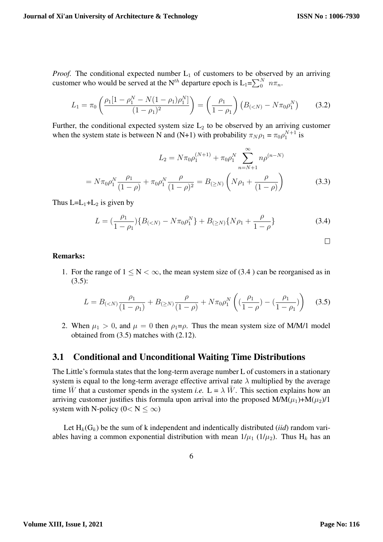*Proof.* The conditional expected number  $L_1$  of customers to be observed by an arriving customer who would be served at the N<sup>th</sup> departure epoch is  $L_1 = \sum_{0}^{N} n \pi_n$ .

$$
L_1 = \pi_0 \left( \frac{\rho_1 [1 - \rho_1^N - N(1 - \rho_1)\rho_1^N]}{(1 - \rho_1)^2} \right) = \left( \frac{\rho_1}{1 - \rho_1} \right) \left( B_{(
$$

Further, the conditional expected system size  $L_2$  to be observed by an arriving customer when the system state is between N and (N+1) with probability  $\pi_N \rho_1 = \pi_0 \rho_1^{N+1}$  is

$$
L_2 = N\pi_0 \rho_1^{(N+1)} + \pi_0 \rho_1^N \sum_{n=N+1}^{\infty} n \rho^{(n-N)}
$$

$$
= N\pi_0 \rho_1^N \frac{\rho_1}{(1-\rho)} + \pi_0 \rho_1^N \frac{\rho}{(1-\rho)^2} = B_{(\geq N)} \left( N\rho_1 + \frac{\rho}{(1-\rho)} \right)
$$
(3.3)

Thus  $L=L_1+L_2$  is given by

$$
L = \left(\frac{\rho_1}{1 - \rho_1}\right) \{B_{(
$$

$$
\sqcup
$$

#### Remarks:

1. For the range of  $1 \le N \le \infty$ , the mean system size of (3.4) can be reorganised as in  $(3.5):$ 

$$
L = B_{(
$$

2. When  $\mu_1 > 0$ , and  $\mu = 0$  then  $\rho_1 = \rho$ . Thus the mean system size of M/M/1 model obtained from (3.5) matches with (2.12).

#### 3.1 Conditional and Unconditional Waiting Time Distributions

The Little's formula states that the long-term average number L of customers in a stationary system is equal to the long-term average effective arrival rate  $\lambda$  multiplied by the average time W that a customer spends in the system *i.e.*  $L = \lambda W$ . This section explains how an arriving customer justifies this formula upon arrival into the proposed  $M/M(\mu_1)+M(\mu_2)/1$ system with N-policy ( $0 < N \leq \infty$ )

Let  $H_k(G_k)$  be the sum of k independent and indentically distributed *(iid)* random variables having a common exponential distribution with mean  $1/\mu_1$  ( $1/\mu_2$ ). Thus H<sub>k</sub> has an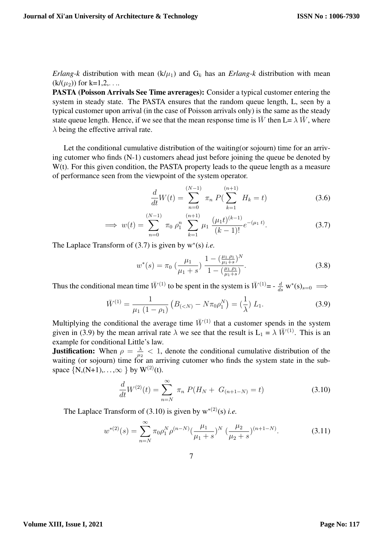*Erlang-k* distribution with mean  $(k/\mu_1)$  and  $G_k$  has an *Erlang-k* distribution with mean  $(k/(\mu_2))$  for k=1,2,...

PASTA (Poisson Arrivals See Time avrerages): Consider a typical customer entering the system in steady state. The PASTA ensures that the random queue length, L, seen by a typical customer upon arrival (in the case of Poisson arrivals only) is the same as the steady state queue length. Hence, if we see that the mean response time is  $\bar{W}$  then L=  $\lambda \bar{W}$ , where  $\lambda$  being the effective arrival rate.

Let the conditional cumulative distribution of the waiting(or sojourn) time for an arriving cutomer who finds (N-1) customers ahead just before joining the queue be denoted by W(t). For this given condition, the PASTA property leads to the queue length as a measure of performance seen from the viewpoint of the system operator.

$$
\frac{d}{dt}W(t) = \sum_{n=0}^{(N-1)} \pi_n P(\sum_{k=1}^{(n+1)} H_k = t)
$$
\n(3.6)

$$
\implies w(t) = \sum_{n=0}^{(N-1)} \pi_0 \rho_1^n \sum_{k=1}^{(n+1)} \mu_1 \frac{(\mu_1 t)^{(k-1)}}{(k-1)!} e^{-(\mu_1 t)}.
$$
 (3.7)

The Laplace Transform of (3.7) is given by w<sup>∗</sup> (s) *i.e.*

$$
w^*(s) = \pi_0 \left(\frac{\mu_1}{\mu_1 + s}\right) \frac{1 - \left(\frac{\mu_1 \rho_1}{\mu_1 + s}\right)^N}{1 - \left(\frac{\mu_1 \rho_1}{\mu_1 + s}\right)}.
$$
\n(3.8)

Thus the conditional mean time  $\bar{W}^{(1)}$  to be spent in the system is  $\bar{W}^{(1)} = -\frac{d}{ds} w^*(s)_{s=0} \implies$ 

$$
\bar{W}^{(1)} = \frac{1}{\mu_1 (1 - \rho_1)} \left( B_{( (3.9)
$$

Multiplying the conditional the average time  $\bar{W}^{(1)}$  that a customer spends in the system given in (3.9) by the mean arrival rate  $\lambda$  we see that the result is  $L_1 = \lambda \bar{W}^{(1)}$ . This is an example for conditional Little's law.

**Justification:** When  $\rho = \frac{\lambda}{\mu}$  $\frac{\lambda}{\mu_2}$  < 1, denote the conditional cumulative distribution of the waiting (or sojourn) time for an arriving cutomer who finds the system state in the subspace  $\{N,(N+1),...,\infty\}$  by  $W^{(2)}(t)$ .

$$
\frac{d}{dt}W^{(2)}(t) = \sum_{n=N}^{\infty} \pi_n P(H_N + G_{(n+1-N)} = t)
$$
\n(3.10)

The Laplace Transform of (3.10) is given by  $w^{*(2)}(s)$  *i.e.* 

$$
w^{*(2)}(s) = \sum_{n=N}^{\infty} \pi_0 \rho_1^N \rho^{(n-N)} \left(\frac{\mu_1}{\mu_1 + s}\right)^N \left(\frac{\mu_2}{\mu_2 + s}\right)^{(n+1-N)}.\tag{3.11}
$$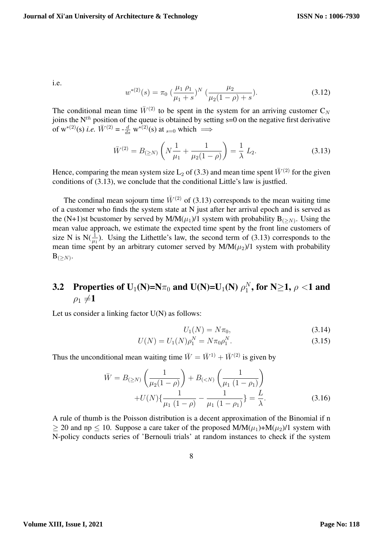i.e.

$$
w^{*(2)}(s) = \pi_0 \left(\frac{\mu_1 \rho_1}{\mu_1 + s}\right)^N \left(\frac{\mu_2}{\mu_2(1 - \rho) + s}\right).
$$
 (3.12)

The conditional mean time  $\bar{W}^{(2)}$  to be spent in the system for an arriving customer C<sub>N</sub> joins the  $N^{th}$  position of the queue is obtained by setting s=0 on the negative first derivative of w<sup>\*(2)</sup>(s) *i.e.*  $\overline{W}^{(2)} = -\frac{d}{ds} \overline{w}^{*(2)}(s)$  at <sub>s=0</sub> which  $\implies$ 

$$
\bar{W}^{(2)} = B_{(\geq N)} \left( N \frac{1}{\mu_1} + \frac{1}{\mu_2 (1 - \rho)} \right) = \frac{1}{\lambda} L_2.
$$
 (3.13)

Hence, comparing the mean system size L<sub>2</sub> of (3.3) and mean time spent  $\bar{W}^{(2)}$  for the given conditions of (3.13), we conclude that the conditional Little's law is justfied.

The condinal mean sojourn time  $\bar{W}^{(2)}$  of (3.13) corresponds to the mean waiting time of a customer who finds the system state at N just after her arrival epoch and is served as the (N+1)st bcustomer by served by M/M $(\mu_1)/1$  system with probability  $B_{(\geq N)}$ . Using the mean value approach, we estimate the expected time spent by the front line customers of size N is  $N(\frac{1}{\mu_1})$ . Using the Lithettle's law, the second term of (3.13) corresponds to the mean time spent by an arbitrary cutomer served by  $M/M(\mu_2)/1$  system with probability  $\mathrm{B}_{(\geq N)}.$ 

#### 3.2 Properties of U<sub>1</sub>(N)=N $\pi_0$  and U(N)=U<sub>1</sub>(N)  $\rho_1^N$  $_{1}^{N},$  for N $\geq$ 1,  $\rho$  <1 and  $\rho_1 \neq 1$

Let us consider a linking factor U(N) as follows:

$$
U_1(N) = N\pi_0,\t\t(3.14)
$$

$$
U(N) = U_1(N)\rho_1^N = N\pi_0\rho_1^N.
$$
\n(3.15)

Thus the unconditional mean waiting time  $\overline{W} = \overline{W}^{1} + \overline{W}^{(2)}$  is given by

$$
\bar{W} = B_{(\geq N)} \left( \frac{1}{\mu_2 (1 - \rho)} \right) + B_{(
$$
+ U(N) \left\{ \frac{1}{\mu_1 (1 - \rho)} - \frac{1}{\mu_1 (1 - \rho_1)} \right\} = \frac{L}{\lambda}.
$$
(3.16)
$$

A rule of thumb is the Poisson distribution is a decent approximation of the Binomial if n  $>$  20 and np  $\leq$  10. Suppose a care taker of the proposed M/M( $\mu$ <sub>1</sub>)+M( $\mu$ <sub>2</sub>)/1 system with N-policy conducts series of 'Bernouli trials' at random instances to check if the system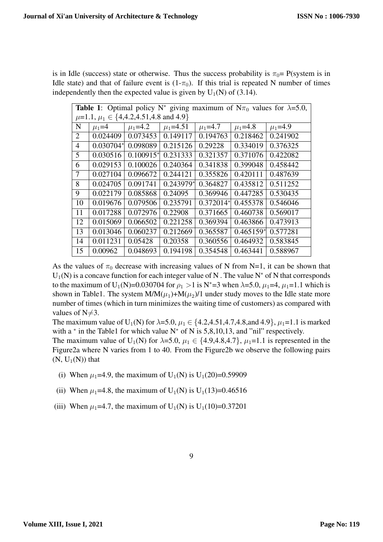is in Idle (success) state or otherwise. Thus the success probability is  $\pi_0$  = P(system is in Idle state) and that of failure event is  $(1-\pi_0)$ . If this trial is repeated N number of times independently then the expected value is given by  $U_1(N)$  of (3.14).

| <b>Table 1:</b> Optimal policy N <sup>*</sup> giving maximum of N $\pi_0$ values for $\lambda$ =5.0, |             |               |               |               |               |               |
|------------------------------------------------------------------------------------------------------|-------------|---------------|---------------|---------------|---------------|---------------|
| $\mu$ =1.1, $\mu_1 \in \{4,4.2,4.51,4.8 \text{ and } 4.9\}$                                          |             |               |               |               |               |               |
| N                                                                                                    | $\mu_1 = 4$ | $\mu_1 = 4.2$ | $\mu_1$ =4.51 | $\mu_1 = 4.7$ | $\mu_1 = 4.8$ | $\mu_1 = 4.9$ |
| 2                                                                                                    | 0.024409    | 0.073453      | 0.149117      | 0.194763      | 0.218462      | 0.241902      |
| $\overline{4}$                                                                                       | $0.030704*$ | 0.098089      | 0.215126      | 0.29228       | 0.334019      | 0.376325      |
| 5                                                                                                    | 0.030516    | $0.100915*$   | 0.231333      | 0.321357      | 0.371076      | 0.422082      |
| 6                                                                                                    | 0.029153    | 0.100026      | 0.240364      | 0.341838      | 0.399048      | 0.458442      |
| 7                                                                                                    | 0.027104    | 0.096672      | 0.244121      | 0.355826      | 0.420111      | 0.487639      |
| 8                                                                                                    | 0.024705    | 0.091741      | $0.243979*$   | 0.364827      | 0.435812      | 0.511252      |
| 9                                                                                                    | 0.022179    | 0.085868      | 0.24095       | 0.369946      | 0.447285      | 0.530435      |
| 10                                                                                                   | 0.019676    | 0.079506      | 0.235791      | $0.372014*$   | 0.455378      | 0.546046      |
| 11                                                                                                   | 0.017288    | 0.072976      | 0.22908       | 0.371665      | 0.460738      | 0.569017      |
| 12                                                                                                   | 0.015069    | 0.066502      | 0.221258      | 0.369394      | 0.463866      | 0.473913      |
| 13                                                                                                   | 0.013046    | 0.060237      | 0.212669      | 0.365587      | $0.465159*$   | 0.577281      |
| 14                                                                                                   | 0.011231    | 0.05428       | 0.20358       | 0.360556      | 0.464932      | 0.583845      |
| 15                                                                                                   | 0.00962     | 0.048693      | 0.194198      | 0.354548      | 0.463441      | 0.588967      |

As the values of  $\pi_0$  decrease with increasing values of N from N=1, it can be shown that  $U_1(N)$  is a concave function for each integer value of N. The value N<sup>\*</sup> of N that corresponds to the maximum of U<sub>1</sub>(N)=0.030704 for  $\rho_1 > 1$  is N<sup>\*</sup>=3 when  $\lambda$ =5.0,  $\mu_1$ =4,  $\mu_1$ =1.1 which is shown in Table1. The system  $M/M(\mu_1)+M(\mu_2)/1$  under study moves to the Idle state more number of times (which in turn minimizes the waiting time of customers) as compared with values of  $N\neq 3$ .

The maximum value of U<sub>1</sub>(N) for  $\lambda$ =5.0,  $\mu_1 \in \{4.2, 4.51, 4.7, 4.8,$  and 4.9},  $\mu_1$ =1.1 is marked with a  $*$  in the Table1 for which value N $*$  of N is 5,8,10,13, and "nil" respectively.

The maximum value of U<sub>1</sub>(N) for  $\lambda$ =5.0,  $\mu_1 \in \{4.9, 4.8, 4.7\}$ ,  $\mu_1$ =1.1 is represented in the Figure2a where N varies from 1 to 40. From the Figure2b we observe the following pairs  $(N, U_1(N))$  that

- (i) When  $\mu_1$ =4.9, the maximum of U<sub>1</sub>(N) is U<sub>1</sub>(20)=0.59909
- (ii) When  $\mu_1$ =4.8, the maximum of U<sub>1</sub>(N) is U<sub>1</sub>(13)=0.46516
- (iii) When  $\mu_1$ =4.7, the maximum of U<sub>1</sub>(N) is U<sub>1</sub>(10)=0.37201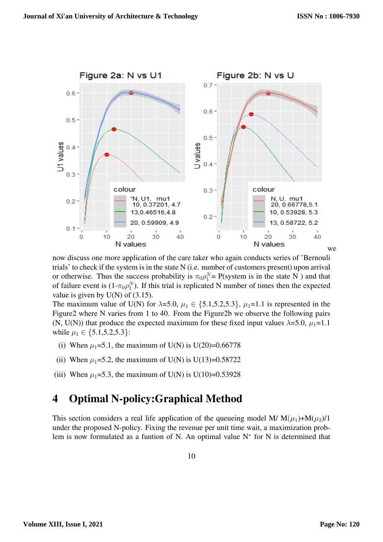

now discuss one more application of the care taker who again conducts series of 'Bernouli trials' to check if the system is in the state N (i.e. number of customers present) upon arrival or otherwise. Thus the success probability is  $\pi_0 \rho_1^N = P$ (system is in the state N) and that of failure event is  $(1-\pi_0\rho_1^N)$ . If this trial is replicated N number of times then the expected value is given by  $U(N)$  of  $(3.15)$ .

The maximum value of U(N) for  $\lambda$ =5.0,  $\mu_1 \in \{5.1, 5.2, 5.3\}$ ,  $\mu_1$ =1.1 is represented in the Figure2 where N varies from 1 to 40. From the Figure2b we observe the following pairs (N, U(N)) that produce the expected maximum for these fixed input values  $\lambda$ =5.0,  $\mu_1$ =1.1 while  $\mu_1 \in \{5.1, 5.2, 5.3\}$ :

- (i) When  $\mu_1 = 5.1$ , the maximum of U(N) is U(20)=0.66778
- (ii) When  $\mu_1 = 5.2$ , the maximum of U(N) is U(13)=0.58722
- (iii) When  $\mu_1 = 5.3$ , the maximum of U(N) is U(10)=0.53928

## 4 Optimal N-policy:Graphical Method

This section considers a real life application of the queueing model M/  $M(\mu_1)+M(\mu_2)/1$ under the proposed N-policy. Fixing the revenue per unit time wait, a maximization problem is now formulated as a funtion of N. An optimal value N<sup>∗</sup> for N is determined that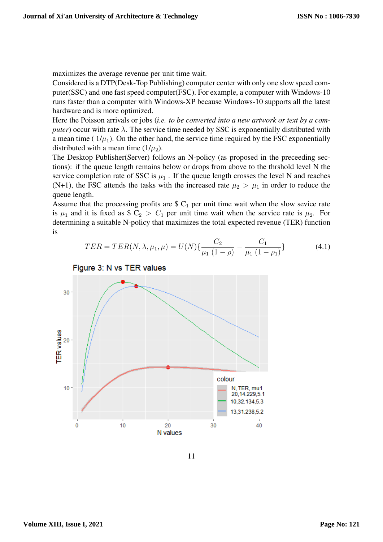maximizes the average revenue per unit time wait.

Considered is a DTP(Desk-Top Publishing) computer center with only one slow speed computer(SSC) and one fast speed computer(FSC). For example, a computer with Windows-10 runs faster than a computer with Windows-XP because Windows-10 supports all the latest hardware and is more optimized.

Here the Poisson arrivals or jobs (*i.e. to be converted into a new artwork or text by a computer*) occur with rate  $\lambda$ . The service time needed by SSC is exponentially distributed with a mean time ( $1/\mu_1$ ). On the other hand, the service time required by the FSC exponentially distributed with a mean time  $(1/\mu_2)$ .

The Desktop Publisher(Server) follows an N-policy (as proposed in the preceeding sections): if the queue length remains below or drops from above to the thrshold level N the service completion rate of SSC is  $\mu_1$ . If the queue length crosses the level N and reaches (N+1), the FSC attends the tasks with the increased rate  $\mu_2 > \mu_1$  in order to reduce the queue length.

Assume that the processing profits are  $C_1$  per unit time wait when the slow sevice rate is  $\mu_1$  and it is fixed as \$ C<sub>2</sub> > C<sub>1</sub> per unit time wait when the service rate is  $\mu_2$ . For determining a suitable N-policy that maximizes the total expected revenue (TER) function is

$$
TER = TER(N, \lambda, \mu_1, \mu) = U(N) \{ \frac{C_2}{\mu_1 (1 - \rho)} - \frac{C_1}{\mu_1 (1 - \rho_1)} \}
$$
(4.1)



Figure 3: N vs TER values

11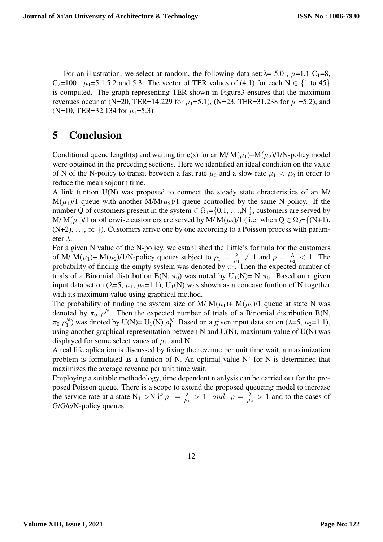For an illustration, we select at random, the following data set: $\lambda$ = 5.0,  $\mu$ =1.1 C<sub>1</sub>=8,  $C_2$ =100,  $\mu_1$ =5.1,5.2 and 5.3. The vector of TER values of (4.1) for each N  $\in \{1 \text{ to } 45\}$ is computed. The graph representing TER shown in Figure3 ensures that the maximum revenues occur at (N=20, TER=14.229 for  $\mu_1$ =5.1), (N=23, TER=31.238 for  $\mu_1$ =5.2), and (N=10, TER=32.134 for  $\mu_1$ =5.3)

## 5 Conclusion

Conditional queue length(s) and waiting time(s) for an M/  $M(\mu_1)+M(\mu_2)/1/N$ -policy model were obtained in the preceding sections. Here we identified an ideal condition on the value of N of the N-policy to transit between a fast rate  $\mu_2$  and a slow rate  $\mu_1 < \mu_2$  in order to reduce the mean sojourn time.

A link funtion U(N) was proposed to connect the steady state chracteristics of an M/  $M(\mu_1)/1$  queue with another  $M/M(\mu_2)/1$  queue controlled by the same N-policy. If the number Q of customers present in the system  $\in \Omega_1 = \{0,1,\ldots,N\}$ , customers are served by M/ M( $\mu_1$ )/1 or otherwise customers are served by M/ M( $\mu_2$ )/1 (i.e. when  $Q \in \Omega_2 = \{(N+1),$  $(N+2), \ldots, \infty$  }). Customers arrive one by one according to a Poisson process with parameter  $\lambda$ .

For a given N value of the N-policy, we established the Little's formula for the customers of M/ M( $\mu_1$ )+ M( $\mu_2$ )/1/N-policy queues subject to  $\rho_1 = \frac{\lambda}{\mu_1}$  $\frac{\lambda}{\mu_1} \neq 1$  and  $\rho = \frac{\lambda}{\mu_2}$  $\frac{\lambda}{\mu_2}$  < 1. The probability of finding the empty system was denoted by  $\pi_0$ . Then the expected number of trials of a Binomial distribution B(N,  $\pi_0$ ) was noted by U<sub>1</sub>(N)= N  $\pi_0$ . Based on a given input data set on ( $\lambda$ =5,  $\mu_1$ ,  $\mu_2$ =1.1), U<sub>1</sub>(N) was shown as a concave funtion of N together with its maximum value using graphical method.

The probability of finding the system size of M/  $M(\mu_1)$ +  $M(\mu_2)$ /1 queue at state N was denoted by  $\pi_0$   $\rho_1^N$ . Then the expected number of trials of a Binomial distribution B(N,  $\pi_0$   $\rho_1^N$ ) was dnoted by U(N)= U<sub>1</sub>(N)  $\rho_1^N$ . Based on a given input data set on ( $\lambda$ =5,  $\mu_2$ =1.1), using another graphical representation between N and U(N), maximum value of U(N) was displayed for some select vaues of  $\mu_1$ , and N.

A real life aplication is discussed by fixing the revenue per unit time wait, a maximization problem is formulated as a funtion of N. An optimal value N<sup>∗</sup> for N is determined that maximizes the average revenue per unit time wait.

Employing a suitable methodology, time dependent n anlysis can be carried out for the proposed Poisson queue. There is a scope to extend the proposed queueing model to increase the service rate at a state  $N_1 > N$  if  $\rho_1 = \frac{\lambda}{\mu_1}$  $\frac{\lambda}{\mu_1} > 1$  and  $\rho = \frac{\lambda}{\mu_2}$  $\frac{\lambda}{\mu_2} > 1$  and to the cases of G/G/c/N-policy queues.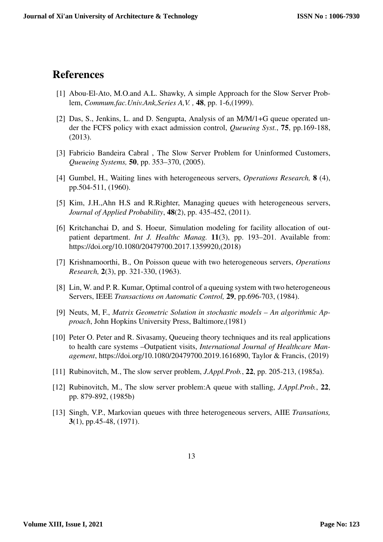### References

- [1] Abou-El-Ato, M.O.and A.L. Shawky, A simple Approach for the Slow Server Problem, *Commum.fac.Univ.Ank,Series A,V. ,* 48, pp. 1-6,(1999).
- [2] Das, S., Jenkins, L. and D. Sengupta, Analysis of an M/M/1+G queue operated under the FCFS policy with exact admission control, *Queueing Syst.*, 75, pp.169-188, (2013).
- [3] Fabricio Bandeira Cabral , The Slow Server Problem for Uninformed Customers, *Queueing Systems,* 50, pp. 353–370, (2005).
- [4] Gumbel, H., Waiting lines with heterogeneous servers, *Operations Research,* 8 (4), pp.504-511, (1960).
- [5] Kim, J.H.,Ahn H.S and R.Righter, Managing queues with heterogeneous servers, *Journal of Applied Probability*, 48(2), pp. 435-452, (2011).
- [6] Kritchanchai D, and S. Hoeur, Simulation modeling for facility allocation of outpatient department. *Int J. Healthc Manag.* 11(3), pp. 193–201. Available from: https://doi.org/10.1080/20479700.2017.1359920,(2018)
- [7] Krishnamoorthi, B., On Poisson queue with two heterogeneous servers, *Operations Research,* 2(3), pp. 321-330, (1963).
- [8] Lin, W. and P. R. Kumar, Optimal control of a queuing system with two heterogeneous Servers, IEEE *Transactions on Automatic Control,* 29, pp.696-703, (1984).
- [9] Neuts, M, F., *Matrix Geometric Solution in stochastic models An algorithmic Approach*, John Hopkins University Press, Baltimore,(1981)
- [10] Peter O. Peter and R. Sivasamy, Queueing theory techniques and its real applications to health care systems –Outpatient visits, *International Journal of Healthcare Management*, https://doi.org/10.1080/20479700.2019.1616890, Taylor & Francis, (2019)
- [11] Rubinovitch, M., The slow server problem, *J.Appl.Prob.*, 22, pp. 205-213, (1985a).
- [12] Rubinovitch, M., The slow server problem:A queue with stalling, *J.Appl.Prob.*, 22, pp. 879-892, (1985b)
- [13] Singh, V.P., Markovian queues with three heterogeneous servers, AIIE *Transations,* 3(1), pp.45-48, (1971).